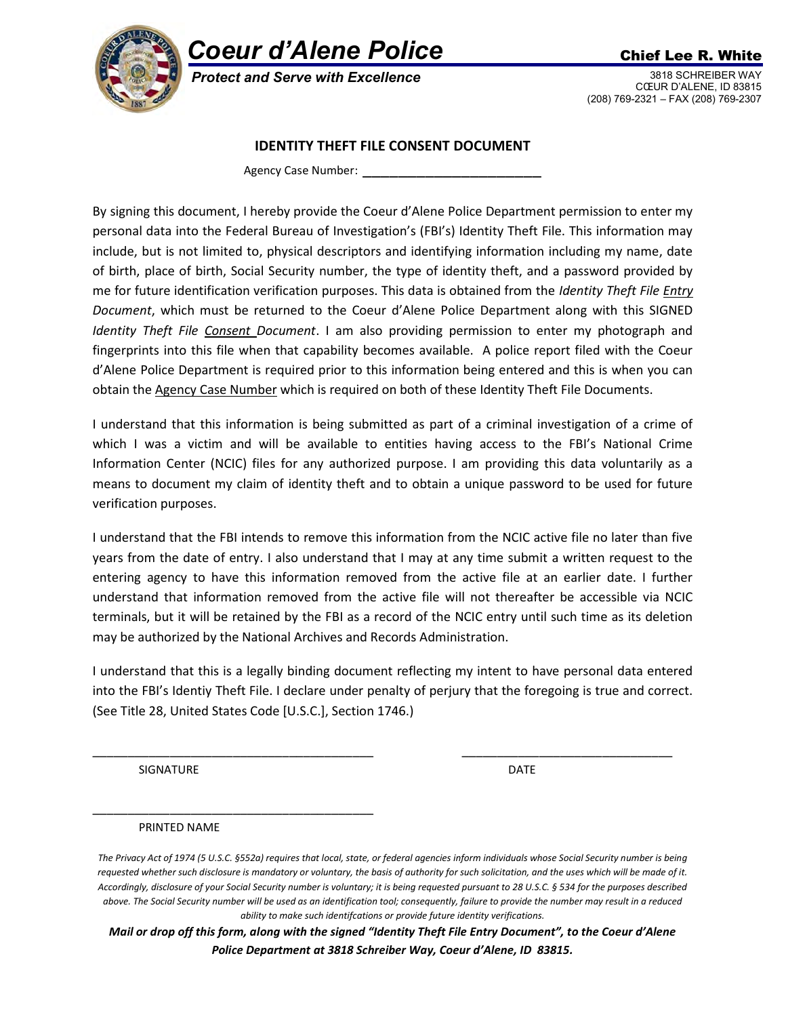

## Coeur d'Alene Police Chief Lee R. White

Protect and Serve with Excellence 3818 SCHREIBER WAY

CŒUR D'ALENE, ID 83815 (208) 769-2321 – FAX (208) 769-2307

## IDENTITY THEFT FILE CONSENT DOCUMENT

Agency Case Number:

By signing this document, I hereby provide the Coeur d'Alene Police Department permission to enter my personal data into the Federal Bureau of Investigation's (FBI's) Identity Theft File. This information may include, but is not limited to, physical descriptors and identifying information including my name, date of birth, place of birth, Social Security number, the type of identity theft, and a password provided by me for future identification verification purposes. This data is obtained from the Identity Theft File Entry Document, which must be returned to the Coeur d'Alene Police Department along with this SIGNED Identity Theft File Consent Document. I am also providing permission to enter my photograph and fingerprints into this file when that capability becomes available. A police report filed with the Coeur d'Alene Police Department is required prior to this information being entered and this is when you can obtain the Agency Case Number which is required on both of these Identity Theft File Documents.

I understand that this information is being submitted as part of a criminal investigation of a crime of which I was a victim and will be available to entities having access to the FBI's National Crime Information Center (NCIC) files for any authorized purpose. I am providing this data voluntarily as a means to document my claim of identity theft and to obtain a unique password to be used for future verification purposes.

I understand that the FBI intends to remove this information from the NCIC active file no later than five years from the date of entry. I also understand that I may at any time submit a written request to the entering agency to have this information removed from the active file at an earlier date. I further understand that information removed from the active file will not thereafter be accessible via NCIC terminals, but it will be retained by the FBI as a record of the NCIC entry until such time as its deletion may be authorized by the National Archives and Records Administration.

I understand that this is a legally binding document reflecting my intent to have personal data entered into the FBI's Identiy Theft File. I declare under penalty of perjury that the foregoing is true and correct. (See Title 28, United States Code [U.S.C.], Section 1746.)

\_\_\_\_\_\_\_\_\_\_\_\_\_\_\_\_\_\_\_\_\_\_\_\_\_\_\_\_\_\_\_\_\_\_\_\_\_\_\_\_ \_\_\_\_\_\_\_\_\_\_\_\_\_\_\_\_\_\_\_\_\_\_\_\_\_\_\_\_\_\_

SIGNATURE DATE DATE

PRINTED NAME

\_\_\_\_\_\_\_\_\_\_\_\_\_\_\_\_\_\_\_\_\_\_\_\_\_\_\_\_\_\_\_\_\_\_\_\_\_\_\_\_

Mail or drop off this form, along with the signed "Identity Theft File Entry Document", to the Coeur d'Alene Police Department at 3818 Schreiber Way, Coeur d'Alene, ID 83815.

The Privacy Act of 1974 (5 U.S.C. §552a) requires that local, state, or federal agencies inform individuals whose Social Security number is being requested whether such disclosure is mandatory or voluntary, the basis of authority for such solicitation, and the uses which will be made of it. Accordingly, disclosure of your Social Security number is voluntary; it is being requested pursuant to 28 U.S.C. § 534 for the purposes described above. The Social Security number will be used as an identification tool; consequently, failure to provide the number may result in a reduced ability to make such identifcations or provide future identity verifications.